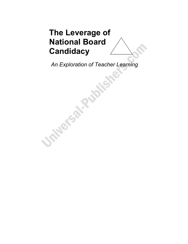# **The Leverage of National Board Candidacy**

*An Exploration of Teacher Learning*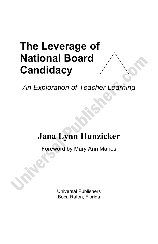# **The Leverage of National Board Candidacy**

*An Exploration of Teacher Learning* 

## **Jana Lynn Hunzicker**

### Foreword by Mary Ann Manos

Universal Publishers Boca Raton, Florida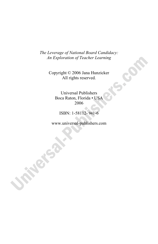*The Leverage of National Board Candidacy: An Exploration of Teacher Learning* 

> Copyright © 2006 Jana Hunzicker All rights reserved.

Universal Publishers Boca Raton, Florida • USA 2006

ISBN: 1-58112- 941-6

www.universal-publishers.com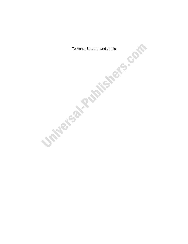To Anne, Barbara, and Jamie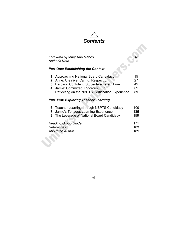

| Foreword by Mary Ann Manos |  |
|----------------------------|--|
| Author's Note              |  |

### *Part One: Establishing the Context*

| 1 Approaching National Board Candidacy             | 15 |
|----------------------------------------------------|----|
| 2 Anne: Creative, Caring, Respectful               | 27 |
| 3 Barbara: Confident, Student-centered, Firm       | 49 |
| 4 Jamie: Committed, Rigorous, Fun                  | 69 |
| 5 Reflecting on the NBPTS Certification Experience | 89 |

### *Part Two: Exploring Teacher Learning*

|                                          | 6 Teacher Learning through NBPTS Candidacy | 109        |
|------------------------------------------|--------------------------------------------|------------|
|                                          | Jamie's Tenuous Learning Experience        | 135        |
|                                          | 8 The Leverage of National Board Candidacy | 159        |
| <b>Reading Group Guide</b><br>References |                                            | 171<br>183 |
| <b>About the Author</b>                  |                                            | 189        |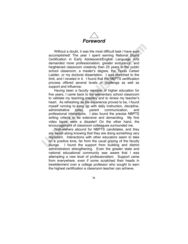

 Without a doubt, it was the most difficult task I have ever accomplished! The year I spent earning National Board Certification in Early Adolescent/English Language Arts demanded more professionalism, greater endurance, and heightened classroom creativity than 25 years in the public school classroom, a master's degree, the Texas Career Ladder, or my doctoral dissertation. I was stretched to the limit, and I reveled in it. I found that the NBPTS certification process offered several levels of challenge as well as support and influence.

 Having been a faculty member of higher education for five years, I came back to the elementary school classroom to validate my teaching mastery and to renew my teacher's heart. As refreshing as the experience proved to be, I found myself running to keep up with daily instruction, discipline, administrative tasks, parent communication, and professional interactions. I also found the precise NBPTS writing criteria to be extensive and demanding. My first video tapes were a disaster! On the other hand, the encouragement of classroom colleagues surrounded me.

 Well-wishers abound for NBPTS candidates, and they are swept along knowing that they are doing something very important. Interactions with other educators seem to take on a positive tone, far from the usual griping of the faculty lounge. I found the support from building and district administrators strengthening. Even the greater state and national educational community was aware that I was attempting a new level of professionalism. Support came from everywhere, even if some scratched their heads in bewilderment over a college professor who sought to earn the highest certification a classroom teacher can achieve.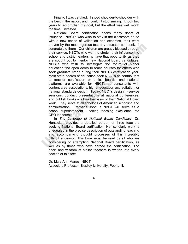Finally, I was certified. I stood shoulder-to-shoulder with the best in the nation, and I couldn't stop smiling. It took two years to accomplish my goal, but the effort was well worth the time I invested.

 National Board certification opens many doors of influence. NBCTs who wish to stay in the classroom do so with a new sense of validation and expertise, their work proven by the most rigorous test any educator can seek. I congratulate them. Our children are greatly blessed through their service. NBCTs who want to stretch their influence into school and district leadership have that opportunity as they are sought out to mentor new National Board candidates. NBCTs who wish to investigate the forum of higher education find open doors to teach courses for others who seek graduate credit during their NBPTS certification year. Most state boards of education seek NBCTs as contributors to teacher certification or ethics boards, and national platforms are available for NBCTs as consultants with content area associations, higher education accreditation, or national standards design. Today, NBCTs design in-service sessions, conduct presentations at national conferences, and publish books – all on the basis of their National Board work. They serve at all echelons of American schooling and administration. Perhaps soon, a NBCT will serve as a school superintendent – taking teaching excellence into CEO leadership.

 In *The Leverage of National Board Candidacy*, Dr. Hunzicker provides a detailed portrait of three teachers seeking National Board certification. Her scholarly work is unequaled in the precise description of outstanding teaching and accompanying thought processes of this incredibly difficult endeavor. This book must be read by all who are considering or attempting National Board certification, as well as by those who have earned the certification. The heart and wisdom of stellar teachers is written into every section of this text.

Dr. Mary Ann Manos, NBCT Associate Professor, Bradley University, Peoria, IL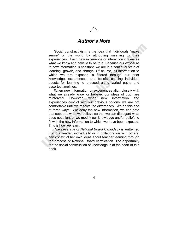### *Author's Note*

Social constructivism is the idea that individuals "make sense" of the world by attributing meaning to their experiences. Each new experience or interaction influences what we know and believe to be true. Because our exposure to new information is constant, we are in a continual state of learning, growth, and change. Of course, all information to which we are exposed is filtered through our prior knowledge, experiences, and beliefs, causing individual quests for learning to proceed along varied paths and assorted timelines.

 When new information or experiences align closely with what we already know or believe, our ideas of truth are reinforced. However, when new information and experiences conflict with our previous notions, we are not comfortable until we resolve the differences. We do this one of three ways: We deny the new information, we find data that supports what we believe so that we can disregard what does not align, or we modify our knowledge and/or beliefs to fit with the new information to which we have been exposed. This is how we learn.

*The Leverage of National Board Candidacy* is written so that the reader, individually or in collaboration with others, can construct her own ideas about teacher learning through the process of National Board certification. The opportunity for the social construction of knowledge is at the heart of this book.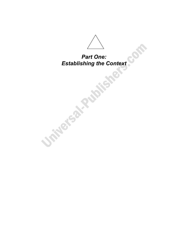

## *Part One: Establishing the Context*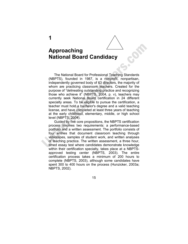**1** 



 The National Board for Professional Teaching Standards (NBPTS), founded in 1987, is a nonprofit, nonpartisan, independently governed body of 63 directors, the majority of whom are practicing classroom teachers. Created for the purpose of "delineating outstanding practice and recognizing those who achieve it" (NBPTS, 2004, p. v), teachers may currently seek National Board certification in 24 different specialty areas. To be eligible to pursue the certification, a teacher must hold a bachelor's degree and a valid teaching license, and have completed at least three years of teaching at the early childhood, elementary, middle, or high school level (NBPTS, 2004).

 Guided by five core propositions, the NBPTS certification process involves two requirements: a performance-based portfolio and a written assessment. The portfolio consists of four entries that document classroom teaching through videotapes, samples of student work, and written analyses of teaching practice. The written assessment, a three hour, timed essay test where candidates demonstrate knowledge within their certification specialty, takes place at a NBPTSapproved testing center (NBPTS, 2003). The entire certification process takes a minimum of 200 hours to complete (NBPTS, 2003), although some candidates have spent 300 to 400 hours on the process (Hunzicker, 2003a; NBPTS, 2002).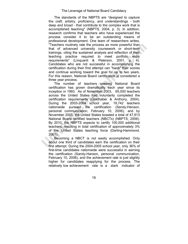The standards of the NBPTS are "designed to capture the craft, artistry, proficiency, and understandings - both deep and broad - that contribute to the complex work that is accomplished teaching" (NBPTS, 2004, p. 3). In addition, research confirms that teachers who have experienced the process consider it to be an outstanding means of professional development. One team of researchers writes, "Teachers routinely rate the process as more powerful than that of advanced university coursework or short-term trainings, citing the sustained analysis and reflection of their teaching practice required to meet portfolio entry requirements" (Linquanti & Peterson, 2001, p. 4). Candidates who are not successful in accomplishing the certification during their first attempt can "bank" their scores and continue working toward the goal for up to two years. For this reason, National Board certification is considered a three year process.

 The number of teachers seeking National Board certification has grown dramatically each year since its inception in 1993. As of November 2003, 65,000 teachers across the United States had voluntarily completed the certification requirements (Goldhaber & Anthony, 2004). During the 2003-2004 school year, 19,742 teachers nationwide pursued the certification (Sandy-Hanson, personal communication, February 10, 2006), and by November 2005, the United States boasted a total of 47,913 National Board certified teachers (NBCTs) (NBPTS, 2006). By 2010, the NBPTS expects to certify 100,000 additional teachers, resulting in total certification of approximately 3% of the United States teaching force (Darling-Hammond, 2001).

 Becoming a NBCT is not easily accomplished. Only about one third of candidates earn the certification on their first attempt. During the 2004-2005 school year, only 36% of first-time candidates nationwide were successful in earning the certification (Sandy-Hanson, personal communication, February 10, 2006), and the achievement rate is just slightly higher for candidates reapplying for the process. The relatively low achievement rate is a stark indicator of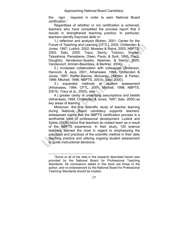the rigor required in order to earn National Board certification.<sup>1</sup>

 Regardless of whether or not certification is achieved, teachers who have completed the process report that it results in strengthened teaching practice. In particular, teachers identify improved skills in:

 1.) reflection and analysis (Bohen, 2001; Center for the Future of Teaching and Learning [CFTL], 2002; Chittenden & Jones, 1997; Lustick, 2002; Moseley & Rains, 2003; NBPTS, 2002; Sato, 2000; Tracz, Sienty, Todorov, Snyder, Takashima, Pensabene, Olsen, Pauls, & Sork, 1995; Tracz, Daughtry, Henderson-Sparks, Newman, & Sienty, 2005; Vandevoort, Amrein-Beardsley, & Berliner, 2004),

 2.) increased collaboration with colleagues (Anderson, Hancock, & Jaus, 2001; Athanases, 1994; Chittenden & Jones, 1997; Kieffer-Barone, Mulvaney, Hillman, & Parker, 1999; Mitchell, 1998; NBPTS, 2001b; Sato, 2000),

 3.) expanded methods of student assessment (Athanases, 1994; CFTL, 2001; Mitchell, 1998; NBPTS, 2001b; Tracz et al., 2005), and

 4.) greater clarity of underlying assumptions and beliefs (Athanases, 1994; Chittenden & Jones, 1997; Sato, 2000) as key areas of learning.

 Moreover, the first scientific study of teacher learning during National Board candidacy supports teachers' widespread claims that the NBPTS certification process is a worthwhile form of professional development. Lustick and Sykes (2006) found that teachers do indeed learn as a result of the NBPTS experience. In their study, 120 science teachers learned the most in regard to emphasizing the principles and practices of the scientific method in their daily teaching practice and utilizing ongoing student assessment to guide instructional decisions.

 $\overline{\phantom{0}}$  1  $1$ Some or all of the data in the research described herein was provided by the National Board for Professional Teaching Standards. All conclusions stated in this book are those of the author, and no endorsement by the National Board for Professional Teaching Standards should be implied.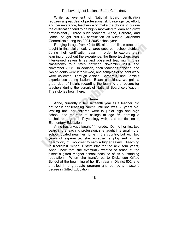### The Leverage of National Board Candidacy

 While achievement of National Board certification requires a great deal of professional skill, intelligence, effort, and perseverance, teachers who make the choice to pursue the certification tend to be highly motivated to learn and grow professionally. Three such teachers, Anne, Barbara, and Jamie, sought NBPTS certification as Middle Childhood Generalists during the 2004-2005 school year.

 Ranging in age from 42 to 55, all three Illinois teachers taught in financially healthy, large suburban school districts during their certification year. In order to explore their learning throughout the experience, the three teachers were interviewed seven times and observed teaching in their classrooms four times between November 2004 and November 2005. In addition, each teacher's principal and two students were interviewed, and samples of student work were collected. Through Anne's, Barbara's, and Jamie's experiences during National Board candidacy, we gain a great deal of insight regarding the learning that occurs for teachers during the pursuit of National Board certification. Their stories begin here.

#### **Anne**

 Anne, currently in her sixteenth year as a teacher, did not begin her teaching career until she was 39 years old. Waiting until her children were in junior high and high school, she returned to college at age 36, earning a bachelor's degree in Psychology with state certification in Elementary Education.

 Anne has always taught fifth grade. During her first two years in the teaching profession, she taught in a small, rural school located near her home in the country; but with two years of experience, she accepted employment in the nearby city of Knollcrest to earn a higher salary. Teaching in Knollcrest School District 802 for the next four years, Anne knew that she eventually wanted to teach at the district's gifted magnet school because of its outstanding reputation. When she transferred to Dickenson Gifted School at the beginning of her fifth year in District 802, she enrolled in a graduate program and earned a master's degree in Gifted Education.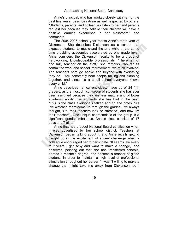Anne's principal, who has worked closely with her for the past five years, describes Anne as well respected by others. "Students, parents, and colleagues listen to her, and parents request her because they believe their children will have a positive learning experience in her classroom," she comments.

 The 2004-2005 school year marks Anne's tenth year at Dickenson. She describes Dickenson as a school that exposes students to music and the arts while at the same time providing academics accelerated by one grade level. Anne considers the Dickenson faculty to be a group of hardworking, knowledgeable professionals. "There is not one lazy teacher on the staff," she remarks. "As far as committee work and school improvement, we're all involved. The teachers here go above and beyond with everything they do. You constantly hear people talking and planning together, and since it's a small school everyone knows every child."

 Anne describes her current class, made up of 24 fifth graders, as the most difficult group of students she has ever been assigned because they are less mature and of lower academic ability than students she has had in the past. "This is the class everyone's talked about," she notes. "As I've watched them come up through the grades, I've always thought, 'Oh, their teachers look so stressed', and now I'm their teacher!" One unique characteristic of the group is a significant gender imbalance. Anne's class consists of 17 boys and 7 girls.

 Anne first heard about National Board certification when it was advertised by her school district. Teachers at Dickenson began talking about it, and Anne recalls getting caught up in the excitement of a new challenge when a colleague encouraged her to participate. "It seems like every four years I get itchy and want to make a change," she observes, pointing out that she has transferred schools, earned a master's degree, and become a teacher of gifted students in order to maintain a high level of professional stimulation throughout her career. "I wasn't willing to make a change that might take me away from Dickenson, so I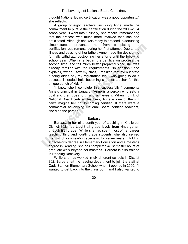thought National Board certification was a good opportunity," she reflects.

 A group of eight teachers, including Anne, made the commitment to pursue the certification during the 2003-2004 school year. "I went into it blindly," she recalls, remembering that the process was much more involved than she had anticipated. Although she was ready to proceed, extenuating circumstances prevented her from completing the certification requirements during her first attempt. Due to the illness and passing of her father, Anne made the decision to formally withdraw, postponing her efforts until the following school year. When she began the certification process the second time, she felt much better prepared since she was already familiar with the requirements. "In addition," she explains, "when I saw my class, I realized that even if state funding didn't pay my registration fee I was going to do it because I needed help becoming a better teacher for this unique bunch of kids."

 "I know she'll complete this successfully," comments Anne's principal in January. "Anne is a person who sets a goal and then goes forth and achieves it. When I think of National Board certified teachers, Anne is one of them. I can't imagine her not becoming certified. If there were a commercial advertising National Board certified teachers, she'd be the person!"

### **Barbara**

 Barbara, in her nineteenth year of teaching in Knollcrest District 802, has taught all grade levels from kindergarten through fifth grade. While she has spent most of her career teaching third and fourth grade students, she also served the district as a reading specialist for seven years. Holding a bachelor's degree in Elementary Education and a master's degree in Reading, she has completed 48 semester hours of graduate work beyond her master's. Barbara is also trained in Reading Recovery.

 While she has worked in six different schools in District 802, Barbara left the reading department to join the staff at Cady Stanton Elementary School when it opened in 2000. "I wanted to get back into the classroom, and I also wanted to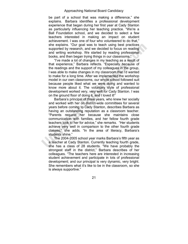### Approaching National Board Candidacy

be part of a school that was making a difference," she explains. Barbara identifies a professional development experience that began during her first year at Cady Stanton as particularly influencing her teaching practice. "We're a Ball Foundation school, and we decided to select a few teachers interested in making an impact on student achievement. I was one of four who volunteered to do that," she explains. "Our goal was to teach using best practices supported by research, and we decided to focus on reading and writing workshop. We started by reading professional books, and then began trying things in our classrooms."

 "I've made a lot of changes in my teaching as a result of that experience," Barbara reflects. "Especially because of the readings and the support of my colleagues in the group, I was able to make changes in my classroom that I'd wanted to make for a long time. After we implemented the workshop model in our own classrooms, our whole school followed suit because people liked what we were doing and wanted to know more about it. The voluntary style of professional development worked very, very well for Cady Stanton. I was on the ground floor of doing it, and I loved it!"

 Barbara's principal of three years, who knew her socially and worked with her on district-wide committees for several years before coming to Cady Stanton, describes Barbara as having an outstanding reputation as a classroom teacher. "Parents request her because she maintains close communication with families, and her fellow fourth grade teachers look to her for advice," she remarks. "Her students achieve very well in comparison to the other fourth grade classes," she adds. "In the area of literacy, Barbara's students shine."

 The 2004-2005 school year marks Barbara's fifth year as a teacher at Cady Stanton. Currently teaching fourth grade, she has a class of 28 students. "We have probably the strongest staff in the district," Barbara describes of her colleagues. "The teachers here are interested in increasing student achievement and participate in lots of professional development; and our principal is very dynamic, very bright. She remembers what it's like to be in the classroom, so she is always supportive."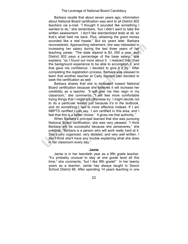Barbara recalls that about seven years ago, information about National Board certification was sent to all District 802 teachers via e-mail. "I thought it sounded like something I wanted to do," she remembers, "but I didn't want to take the written assessment. I don't like standardized tests at all, so that's what held me back. Plus, obtaining the grant money sounded like a real hassle." But six years later, Barbara reconsidered. Approaching retirement, she was interested in increasing her salary during the last three years of her teaching career. "The state stipend is \$3, 000 a year, and District 802 pays a percentage of the base salary," she explains, "so I found out more about it. I realized that I had the background experience to be able to accomplish it, and that gave me confidence. I decided to give it a try." After completing the registration process, Barbara was pleased to learn that another teacher at Cady Stanton had decided to seek the certification as well.

 Barbara shares that she is motivated toward National Board certification because she believes it will increase her credibility as a teacher. "It will give me free reign in my classroom," she comments. "I will feel more comfortable trying things that I might not otherwise try. I might decide not to do a particular lesson just because it's in the textbook, and do something I feel is more effective instead. If I am NBPTS certified I can say, 'I am certified in this area, and I feel that this is a better choice.' It gives me that authority."

 When Barbara's principal learned that she was pursuing National Board certification, she was very pleased. "I think Barbara will be successful because she perseveres," she predicts. "Barbara is a person who will work really hard at it. She's very organized, very detailed, and very well written. I don't think she'll have any trouble explaining what she does in her classroom every day."

#### **Jamie**

 Jamie is in her twentieth year as a fifth grade teacher. "It's probably unusual to stay at one grade level all this time," she comments, "but I like fifth grade!" In her twenty years as a teacher, Jamie has always taught in Saxon School District 66. After spending 14 years teaching in one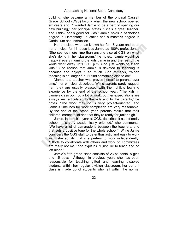building, she became a member of the original Cassatt Grade School (CGS) faculty when the new school opened six years ago. "I wanted Jamie to be a part of opening our new building," her principal states. "She's a great teacher, and I think she's good for kids." Jamie holds a bachelor's degree in Elementary Education and a master's degree in Curriculum and Instruction.

 Her principal, who has known her for 18 years and been her principal for 11, describes Jamie as 100% professional. "She spends more time than anyone else at CGS on what she's doing in her classroom," he notes. "Jamie would be happy if every morning the kids came in and the rest of the world went away until 3:15 p.m. She just wants to teach kids." One reason that Jamie is devoted to teaching is because she enjoys it so much. She remarks, "When teaching is no longer fun, I'll find something else to do!"

 "Jamie is a teacher who proves herself to parents over time," her principal describes. While parents rarely request her, they are usually pleased with their child's learning experience by the end of the school year. "The kids in Jamie's classroom do a lot of work, but her expectations are always well articulated to the kids and to the parents," he notes. "The work they do is very project-oriented, and Jamie's timelines for work completion are very reasonable. By the end of the school year, parents realize that their children learned a lot and that they're ready for junior high."

 Jamie, in her sixth year at CGS, describes it as a friendly school. "It's very academically oriented," she comments. "We have a lot of camaraderie between the teachers, and that sets a positive tone for the whole school." While Jamie considers the CGS staff to be enthusiastic and easy to work with, she admits that she prefers to work independently. "Efforts to collaborate with others and work on committees are really not me," she explains. "I just like to teach and be left alone."

 Jamie's fifth grade class consists of 23 students, 8 girls and 15 boys. Although in previous years she has been responsible for teaching gifted and learning disabled students within her regular division classroom, her current class is made up of students who fall within the normal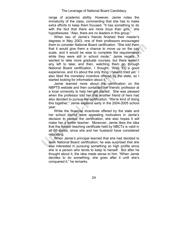range of academic ability. However, Jamie notes the immaturity of the class, commenting that she has to make extra efforts to keep them focused. "It has something to do with the fact that there are more boys than girls." she hypothesizes. "Also, there are no leaders in this group."

 When two of Jamie's friends finished their master's degrees in May 2003, one of their professors encouraged them to consider National Board certification. "She told them that it would give them a chance to move up on the pay scale, and it would be wise to complete the requirements while they were still in school mode," Jamie recalls. "I wanted to take more graduate courses, but there weren't any left to take; and then, watching them go through National Board certification, I thought, 'Well, it's a good experience, and it's about the only thing I haven't tried yet.' I also liked the monetary incentive offered by the state, so I started looking for information about it."

 Jamie learned more about the certification on the NBPTS website and then contacted her friends' professor at a local university to help her get started. She was pleased when the professor told her that another friend of hers had also decided to pursue the certification. "We're kind of doing this together," Jamie explains early in the 2004-2005 school year.

 While the financial incentives offered by the state and her school district were appealing motivators in Jamie's decision to pursue the certification, she also hopes it will make her a better teacher. Moreover, Jamie likes the idea that the master teaching certificate held by NBCTs is valid in all 50 states, since she and her husband have considered relocating.

 When Jamie's principal learned that she had decided to seek National Board certification, he was surprised that she was interested in pursuing something so high profile since she is a person who tends to keep to herself. But after he thought about it, the idea made sense to him. "When Jamie decides to do something, she goes after it until she's conquered it," he remarks.